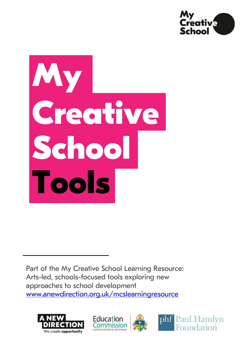

# **My Creative School Tools**

Part of the My Creative School Learning Resource: Arts-led, schools-focused tools exploring new approaches to school development [www.anewdirection.org.uk/mcslearningresource](http://www.anewdirection.org.uk/mcslearningresource)







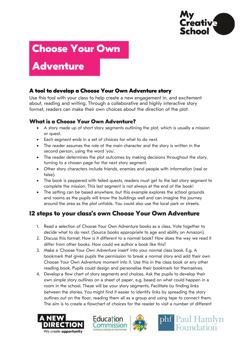

## **Choose Your Own**

## **Adventure**

#### **A tool to develop a Choose Your Own Adventure story**

Use this tool with your class to help create a new engagement in, and excitement about, reading and writing. Through a collaborative and highly interactive story format, readers can make their own choices about the direction of the plot.

#### **What is a Choose Your Own Adventure?**

- A story made up of short story segments outlining the plot, which is usually a mission or quest.
- Each segment ends in a set of choices for what to do next.
- The reader assumes the role of the main character and the story is written in the second person, using the word 'you'.
- The reader determines the plot outcomes by making decisions throughout the story, turning to a chosen page for the next story segment.
- Other story characters include friends, enemies and people with information (real or false).
- The book is peppered with failed quests, readers must get to the last story segment to complete the mission. This last segment is not always at the end of the book!
- The setting can be based anywhere, but this example explores the school grounds and rooms as the pupils will know the buildings well and can imagine the journey around the area as the plot unfolds. You could also use the local park or streets.

### **12 steps to your class's own Choose Your Own Adventure**

- 1. Read a selection of Choose Your Own Adventure books as a class. Vote together to decide what to do next. (Source books appropriate to age and ability on Amazon).
- 2. Discuss this format. How is it different to a normal book? How does the way we read it differ from other books. How could we author a book like this?
- 3. Make a 'Choose Your Own Adventure insert' into your normal class book. E.g. A bookmark that gives pupils the permission to break a normal story and add their own Choose Your Own Adventure moment into it. Use this in the class book or any other reading book. Pupils could design and personalise their bookmark for themselves.
- 4. Develop a flow chart of story segments and choices. Ask the pupils to develop their own simple story outlines on a sheet of paper, e.g. based on what could happen in a room in the school. These will be your story segments. Facilitate by finding links between the stories. You might find it easier to identify links by spreading the story outlines out on the floor, reading them all as a group and using tape to connect them. The aim is to create a flowchart of choices for the reader to visit a number of different







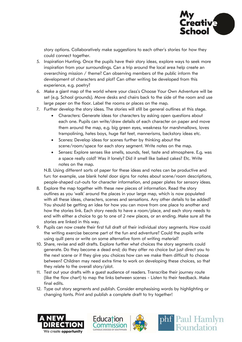

story options. Collaboratively make suggestions to each other's stories for how they could connect together.

- 5. Inspiration Hunting. Once the pupils have their story ideas, explore ways to seek more inspiration from your surroundings. Can a trip around the local area help create an overarching mission / theme? Can observing members of the public inform the development of characters and plot? Can other writing be developed from this experience, e.g. poetry?
- 6. Make a giant map of the world where your class's Choose Your Own Adventure will be set (e.g. School grounds). Move desks and chairs back to the side of the room and use large paper on the floor. Label the rooms or places on the map.
- 7. Further develop the story ideas. The stories will still be general outlines at this stage.
	- Characters: Generate ideas for characters by asking open questions about each one. Pupils can write/draw details of each character on paper and move them around the map, e.g. big green eyes, weakness for marshmallows, loves trampolining, hates boys, huge flat feet, mannerisms, backstory ideas etc.
	- Scenes: Develop ideas for scenes further by thinking about the scene/room/space for each story segment. Write notes on the map.
	- Senses: Explore senses like smells, sounds, feel, taste and atmosphere. E.g. was a space really cold? Was it lonely? Did it smell like baked cakes? Etc. Write notes on the map.

N.B. Using different sorts of paper for these ideas and notes can be productive and fun: for example, use blank hotel door signs for notes about scene/room descriptions, people-shaped cut-outs for character information, and paper plates for sensory ideas.

- 8. Explore the map together with these new pieces of information. Read the story outlines as you 'walk' around the places in your large map, which is now populated with all these ideas, characters, scenes and sensations. Any other details to be added? You should be getting an idea for how you can move from one place to another and how the stories link. Each story needs to have a room/place, and each story needs to end with either a choice to go to one of 2 new places, or an ending. Make sure all the stories are linked in this way.
- 9. Pupils can now create their first full draft of their individual story segments. How could the writing exercise become part of the fun and adventure? Could the pupils write using quill pens or write on some alternative form of writing material?
- 10. Share, revise and edit drafts. Explore further what choices the story segments could generate. Do they become a dead end; do they offer no choice but just direct you to the next scene or if they give you choices how can we make them difficult to choose between? Children may need extra time to work on developing these choices, so that they relate to the overall story/plot.
- 11. Test out your drafts with a guest audience of readers. Transcribe their journey route (like the flow chart) to map the links between scenes - Listen to their feedback. Make final edits.
- 12. Type out story segments and publish. Consider emphasising words by highlighting or changing fonts. Print and publish a complete draft to try together!







phf Paul Hamlyn

Foundation